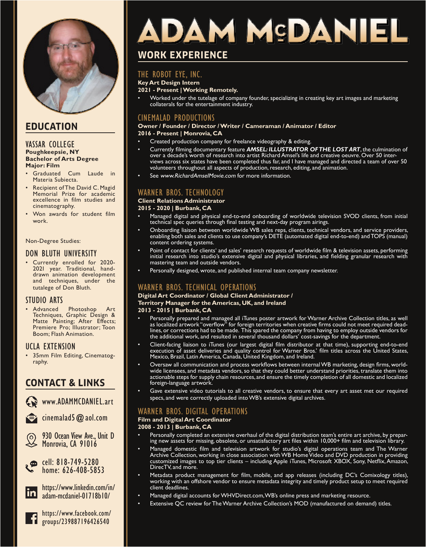

# **EDUCATION**

### VASSAR COLLEGE **Poughkeepsie, NY Bachelor of Arts Degree Major: Film**

- Graduated Cum Laude in Materia Subiecta.
- Recipient of The David C. Magid Memorial Prize for academic excellence in film studies and cinematography.
- Won awards for student film work.

### Non-Degree Studies:

# DON BLUTH UNIVERSITY

• Currently enrolled for 2020- 202I year. Traditional, handdrawn animation development and techniques, under the tutalege of Don Bluth.

# STUDIO ARTS

• Advanced Photoshop Art Techniques, Graphic Design & Matte Painting; After Effects; Premiere Pro; Illustrator; Toon Boom; Flash Animation.

# UCLA EXTENSION

• 35mm Film Editing, Cinematography.

# **CONTACT & LINKS**

www.ADAMMCDANIEL.art

cinemalad5@aol.com

930 Ocean View Ave., Unit D Monrovia, CA 91016

ھي cell: 818-749-5280 home: 626-408-5853



https://www.linkedin.com/in/ adam-mcdaniel-01718b10/



https://www.facebook.com/ groups/239887196426540

# DAM MSDANIEL

# **WORK EXPERIENCE**

# THE ROBOT EYE, INC.

## **Key Art Design Intern**

# **2021 - Present | Working Remotely.**

• Worked under the tutelage of company founder, specializing in creating key art images and marketing collaterals for the entertainment industry.

# CINEMALAD PRODUCTIONS

## **Owner / Founder / Director / Writer / Cameraman / Animator / Editor**

**2016 - Present | Monrovia, CA**

- Created production company for freelance videography & editing.
- Currently filming documentary feature *AMSEL: ILLUSTRATOR OF THE LOST ART*, the culmination of over a decade's worth of research into artist Richard Amsel's life and creative oeuvre. Over 50 interviews across six states have been completed thus far, and I have managed and directed a team of over 50 volunteers throughout all aspects of production, research, editing, and animation.
- See www.RichardAmselMovie.com for more information.

# WARNER BROS. TECHNOLOGY

### **Client Relations Administrator**

### **2015 - 2020 | Burbank, CA**

- Managed digital and physical end-to-end onboarding of worldwide television SVOD clients, from initial technical spec queries through final testing and next-day program airings.
- Onboarding liaison between worldwide WB sales reps, clients, technical vendors, and service providers, enabling both sales and clients to use company's DETE (automated digital end-to-end) and TOPS (manual) content ordering systems.
- Point of contact for clients' and sales' research requests of worldwide film & television assets, performing initial research into studio's extensive digital and physical libraries, and fielding granular research with mastering team and outside vendors.
- Personally designed, wrote, and published internal team company newsletter.

# WARNER BROS. TECHNICAL OPERATIONS

# **Digital Art Coordinator / Global Client Administrator /**

# **Territory Manager for the Americas, UK, and Ireland**

# **2013 - 2015 | Burbank, CA**

- Personally prepared and managed all iTunes poster artwork for Warner Archive Collection titles, as well as localized artwork "overflow" for foreign territories when creative firms could not meet required deadlines, or corrections had to be made. This spared the company from having to employ outside vendors for the additional work, and resulted in several thousand dollars' cost-savings for the department.
- Client-facing liaison to iTunes (our largest digital film distributor at that time), supporting end-to-end execution of asset deliveries and quality control for Warner Bros.' film titles across the United States, Mexico, Brazil, Latin America, Canada, United Kingdom, and Ireland.
- Oversaw all communication and process workflows between internal WB marketing, design firms, worldwide licensees, and metadata vendors, so that they could better understand priorities, translate them into actionable steps for supply chain resources, and ensure the timely completion of all domestic and localized foreign-language artwork.
- Gave extensive video tutorials to all creative vendors, to ensure that every art asset met our required specs, and were correctly uploaded into WB's extensive digital archives.

# WARNER BROS. DIGITAL OPERATIONS

# **Film and Digital Art Coordinator**

# **2008 - 2013 | Burbank, CA**

- Personally completed an extensive overhaul of the digital distribution team's entire art archive, by preparing new assets for missing, obsolete, or unsatisfactory art files within 10,000+ film and television library.
- Managed domestic film and television artwork for studio's digital operations team and The Warner Archive Collection, working in close association with WB Home Video and DVD production in providing customized images to top tier clients – including Apple iTunes, Microsoft XBOX, Sony, Netflix, Amazon, DirecTV, and more.
- Metadata product management for film, mobile, and app releases (including DC's Comixology titles), working with an offshore vendor to ensure metadata integrity and timely product setup to meet required client deadlines.
- Managed digital accounts for WHVDirect.com, WB's online press and marketing resource.
- Extensive QC review for The Warner Archive Collection's MOD (manufactured on demand) titles.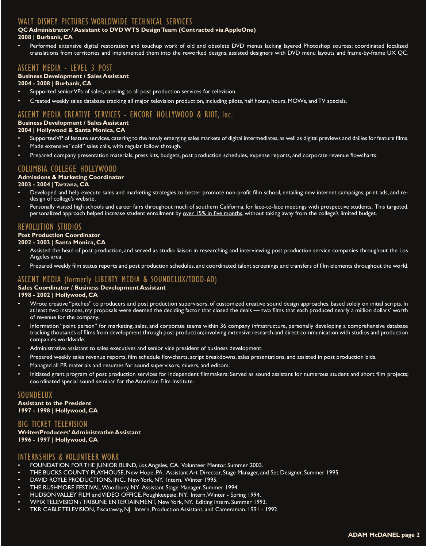# WALT DISNEY PICTURES WORLDWIDE TECHNICAL SERVICES

### **QC Administrator / Assistant to DVD WTS Design Team (Contracted via AppleOne)**

### **2008 | Burbank, CA**

• Performed extensive digital restoration and touchup work of old and obsolete DVD menus lacking layered Photoshop sources; coordinated localized translations from territories and implemented them into the reworked designs; assisted designers with DVD menu layouts and frame-by-frame UX QC.

# ASCENT MEDIA - LEVEL 3 POST

### **Business Development / Sales Assistant**

**2004 - 2008 | Burbank, CA**

- Supported senior VPs of sales, catering to all post production services for television.
- Created weekly sales database tracking all major television production, including pilots, half hours, hours, MOWs, and TV specials.

# ASCENT MEDIA CREATIVE SERVICES - ENCORE HOLLYWOOD & RIOT, Inc.

# **Business Development / Sales Assistant**

# **2004 | Hollywood & Santa Monica, CA**

- Supported VP of feature services, catering to the newly emerging sales markets of digital intermediates, as well as digital previews and dailies for feature films.
- Made extensive "cold" sales calls, with regular follow through.
- Prepared company presentation materials, press kits, budgets, post production schedules, expense reports, and corporate revenue flowcharts.

# COLUMBIA COLLEGE HOLLYWOOD

### **Admissions & Marketing Coordinator**

### **2003 - 2004 | Tarzana, CA**

- Developed and help execute sales and marketing strategies to better promote non-profit film school, entailing new internet campaigns, print ads, and redesign of college's website.
- Personally visited high schools and career fairs throughout much of southern California, for face-to-face meetings with prospective students. This targeted, personalized approach helped increase student enrollment by over 15% in five months, without taking away from the college's limited budget.

# REVOLUTION STUDIOS

### **Post Production Coordinator**

### **2002 - 2003 | Santa Monica, CA**

- Assisted the head of post production, and served as studio liaison in researching and interviewing post production service companies throughout the Los Angeles area.
- Prepared weekly film status reports and post production schedules, and coordinated talent screenings and transfers of film elements throughout the world.

# ASCENT MEDIA (formerly LIBERTY MEDIA & SOUNDELUX/TODD-AO)

## **Sales Coordinator / Business Development Assistant**

### **1998 - 2002 | Hollywood, CA**

- Wrote creative "pitches" to producers and post production supervisors, of customized creative sound design approaches, based solely on initial scripts. In at least two instances, my proposals were deemed the deciding factor that closed the deals — two films that each produced nearly a million dollars' worth of revenue for the company.
- Information "point person" for marketing, sales, and corporate teams within 36 company infrastructure, personally developing a comprehensive database tracking thousands of films from development through post production; involving extensive research and direct communication with studios and production companies worldwide.
- Administrative assistant to sales executives and senior vice president of business development.
- Prepared weekly sales revenue reports, film schedule flowcharts, script breakdowns, sales presentations, and assisted in post production bids.
- Managed all PR materials and resumes for sound supervisors, mixers, and editors.
- Initiated grant program of post production services for independent filmmakers; Served as sound assistant for numerous student and short film projects; coordinated special sound seminar for the American Film Institute.

## SOUNDELUX

**Assistant to the President 1997 - 1998 | Hollywood, CA**

## BIG TICKET TELEVISION

**Writer/Producers' Administrative Assistant 1996 - 1997 | Hollywood, CA**

# INTERNSHIPS & VOLUNTEER WORK

- FOUNDATION FOR THE JUNIOR BLIND, Los Angeles, CA. Volunteer Mentor. Summer 2003.
- THE BUCKS COUNTY PLAYHOUSE, New Hope, PA. Assistant Art Director, Stage Manager, and Set Designer. Summer 1995.
- DAVID ROYLE PRODUCTIONS, INC., New York, NY. Intern. Winter 1995.
- THE RUSHMORE FESTIVAL, Woodbury, NY. Assistant Stage Manager. Summer 1994.
- HUDSON VALLEY FILM and VIDEO OFFICE, Poughkeepsie, NY. Intern. Winter Spring 1994.
- WPIX TELEVISION / TRIBUNE ENTERTAINMENT, New York, NY. Editing intern. Summer 1993.
- TKR CABLE TELEVISION, Piscataway, NJ. Intern, Production Assistant, and Cameraman. 1991 1992.